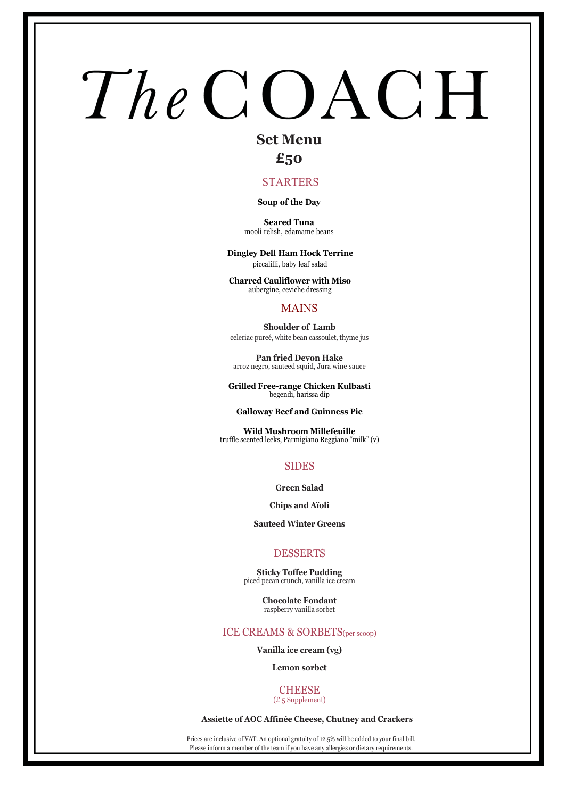# **Set Menu**

# **£50**

### STARTERS

### **Soup of the Day**

**Seared Tuna** mooli relish, edamame beans

**Dingley Dell Ham Hock Terrine** piccalilli, baby leaf salad

**Charred Cauliflower with Miso** aubergine, ceviche dressing

#### MAINS

**Shoulder of Lamb** celeriac pureé, white bean cassoulet, thyme jus

**Pan fried Devon Hake** arroz negro, sauteed squid, Jura wine sauce

**Grilled Free-range Chicken Kulbasti** begendi, harissa dip

#### **Galloway Beef and Guinness Pie**

**Wild Mushroom Millefeuille**  truffle scented leeks, Parmigiano Reggiano "milk" (v)

### SIDES

**Green Salad** 

**Chips and Aïoli** 

**Sauteed Winter Greens** 

### DESSERTS

**Sticky Toffee Pudding** piced pecan crunch, vanilla ice cream

> **Chocolate Fondant** raspberry vanilla sorbet

#### ICE CREAMS & SORBETS(per scoop)

**Vanilla ice cream (vg)** 

**Lemon sorbet** 

#### **CHEESE** (£ 5 Supplement)

 **Assiette of AOC Affinée Cheese, Chutney and Crackers**

Prices are inclusive of VAT. An optional gratuity of 12.5% will be added to your final bill. Please inform a member of the team if you have any allergies or dietary requirements.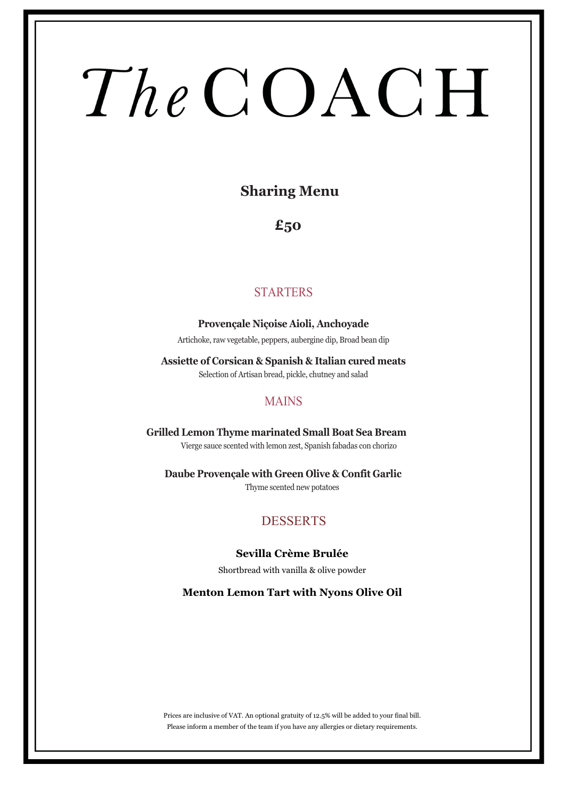# **Sharing Menu**

**£50**

# **STARTERS**

**Provençale Niçoise Aioli, Anchoyade** Artichoke, raw vegetable, peppers, aubergine dip, Broad bean dip

**Assiette of Corsican & Spanish & Italian cured meats** Selection of Artisan bread, pickle, chutney and salad

## **MAINS**

**Grilled Lemon Thyme marinated Small Boat Sea Bream** Vierge sauce scented with lemon zest, Spanish fabadas con chorizo

**Daube Provençale with Green Olive & Confit Garlic** Thyme scented new potatoes

# **DESSERTS**

## **Sevilla Crème Brulée**

Shortbread with vanilla & olive powder

**Menton Lemon Tart with Nyons Olive Oil**

Prices are inclusive of VAT. An optional gratuity of 12.5% will be added to your final bill. Please inform a member of the team if you have any allergies or dietary requirements.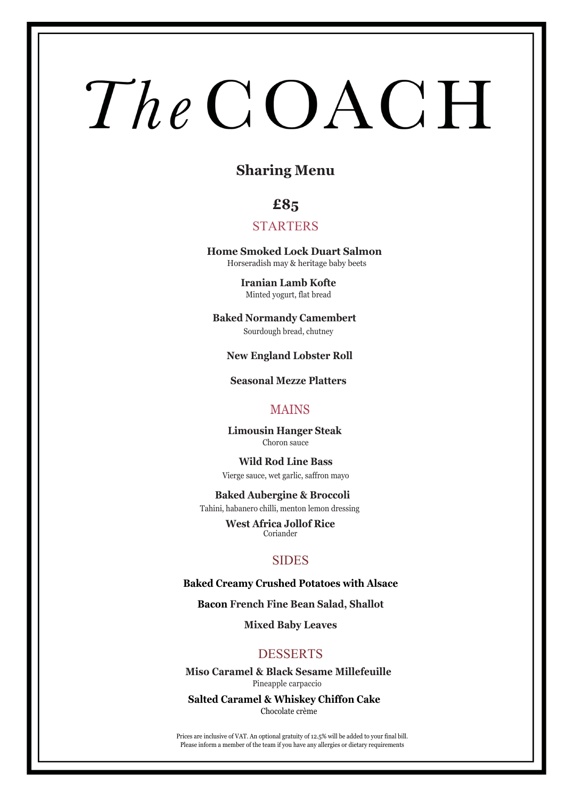# **Sharing Menu**

# **£85**

## STARTERS

**Home Smoked Lock Duart Salmon**  Horseradish may & heritage baby beets

> **Iranian Lamb Kofte** Minted yogurt, flat bread

**Baked Normandy Camembert**  Sourdough bread, chutney

**New England Lobster Roll**

**Seasonal Mezze Platters**

## MAINS

 **Limousin Hanger Steak** Choron sauce

**Wild Rod Line Bass** Vierge sauce, wet garlic, saffron mayo

**Baked Aubergine & Broccoli** Tahini, habanero chilli, menton lemon dressing

> **West Africa Jollof Rice** Coriander

### **SIDES**

**Baked Creamy Crushed Potatoes with Alsace** 

**Bacon French Fine Bean Salad, Shallot**

**Mixed Baby Leaves**

## DESSERTS

**Miso Caramel & Black Sesame Millefeuille** Pineapple carpaccio

**Salted Caramel & Whiskey Chiffon Cake** Chocolate crème

Prices are inclusive of VAT. An optional gratuity of 12.5% will be added to your final bill. Please inform a member of the team if you have any allergies or dietary requirements